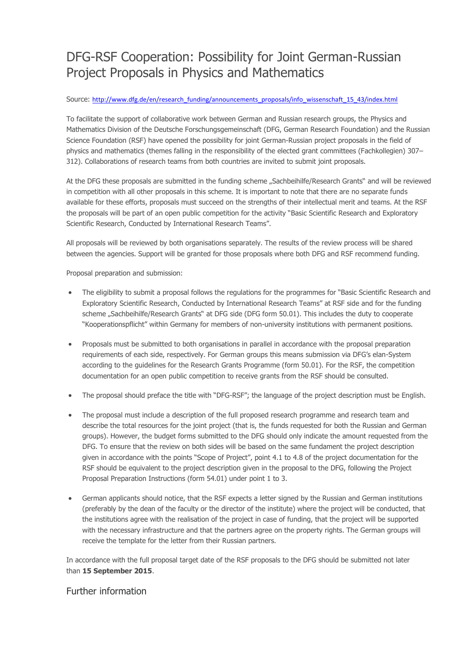## DFG-RSF Cooperation: Possibility for Joint German-Russian Project Proposals in Physics and Mathematics

## Source: [http://www.dfg.de/en/research\\_funding/announcements\\_proposals/info\\_wissenschaft\\_15\\_43/index.html](http://www.dfg.de/en/research_funding/announcements_proposals/info_wissenschaft_15_43/index.html)

To facilitate the support of collaborative work between German and Russian research groups, the Physics and Mathematics Division of the Deutsche Forschungsgemeinschaft (DFG, German Research Foundation) and the Russian Science Foundation (RSF) have opened the possibility for joint German-Russian project proposals in the field of physics and mathematics (themes falling in the responsibility of the elected grant committees (Fachkollegien) 307– 312). Collaborations of research teams from both countries are invited to submit joint proposals.

At the DFG these proposals are submitted in the funding scheme "Sachbeihilfe/Research Grants" and will be reviewed in competition with all other proposals in this scheme. It is important to note that there are no separate funds available for these efforts, proposals must succeed on the strengths of their intellectual merit and teams. At the RSF the proposals will be part of an open public competition for the activity "Basic Scientific Research and Exploratory Scientific Research, Conducted by International Research Teams".

All proposals will be reviewed by both organisations separately. The results of the review process will be shared between the agencies. Support will be granted for those proposals where both DFG and RSF recommend funding.

Proposal preparation and submission:

- The eligibility to submit a proposal follows the regulations for the programmes for "Basic Scientific Research and Exploratory Scientific Research, Conducted by International Research Teams" at RSF side and for the funding scheme "Sachbeihilfe/Research Grants" at DFG side (DFG form 50.01). This includes the duty to cooperate "Kooperationspflicht" within Germany for members of non-university institutions with permanent positions.
- Proposals must be submitted to both organisations in parallel in accordance with the proposal preparation requirements of each side, respectively. For German groups this means submission via DFG's elan-System according to the guidelines for the Research Grants Programme (form 50.01). For the RSF, the competition documentation for an open public competition to receive grants from the RSF should be consulted.
- The proposal should preface the title with "DFG-RSF"; the language of the project description must be English.
- The proposal must include a description of the full proposed research programme and research team and describe the total resources for the joint project (that is, the funds requested for both the Russian and German groups). However, the budget forms submitted to the DFG should only indicate the amount requested from the DFG. To ensure that the review on both sides will be based on the same fundament the project description given in accordance with the points "Scope of Project", point 4.1 to 4.8 of the project documentation for the RSF should be equivalent to the project description given in the proposal to the DFG, following the Project Proposal Preparation Instructions (form 54.01) under point 1 to 3.
- German applicants should notice, that the RSF expects a letter signed by the Russian and German institutions (preferably by the dean of the faculty or the director of the institute) where the project will be conducted, that the institutions agree with the realisation of the project in case of funding, that the project will be supported with the necessary infrastructure and that the partners agree on the property rights. The German groups will receive the template for the letter from their Russian partners.

In accordance with the full proposal target date of the RSF proposals to the DFG should be submitted not later than **15 September 2015**.

## Further information